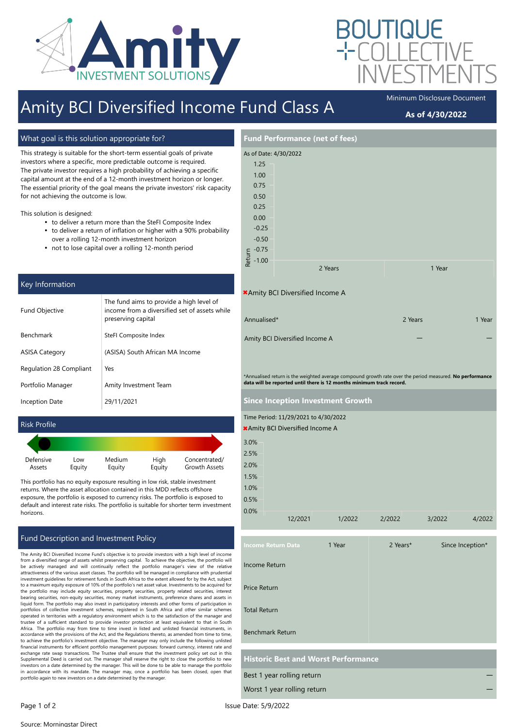

# Amity BCI Diversified Income Fund Class A

What goal is this solution appropriate for?

This strategy is suitable for the short-term essential goals of private investors where a specific, more predictable outcome is required. The private investor requires a high probability of achieving a specific capital amount at the end of a 12-month investment horizon or longer. The essential priority of the goal means the private investors' risk capacity for not achieving the outcome is low.

This solution is designed:

- to deliver a return more than the SteFI Composite Index
- to deliver a return of inflation or higher with a 90% probability over a rolling 12-month investment horizon
- not to lose capital over a rolling 12-month period

### Key Information

| <b>Fund Objective</b>   | The fund aims to provide a high level of<br>income from a diversified set of assets while<br>preserving capital |  |
|-------------------------|-----------------------------------------------------------------------------------------------------------------|--|
| <b>Benchmark</b>        | SteFI Composite Index                                                                                           |  |
| <b>ASISA Category</b>   | (ASISA) South African MA Income                                                                                 |  |
| Regulation 28 Compliant | Yes                                                                                                             |  |
| Portfolio Manager       | Amity Investment Team                                                                                           |  |
| <b>Inception Date</b>   | 29/11/2021                                                                                                      |  |

#### Risk Profile

| Defensive | Low    | Medium | High   | Concentrated/        |
|-----------|--------|--------|--------|----------------------|
| Assets    | Equity | Equity | Equity | <b>Growth Assets</b> |

This portfolio has no equity exposure resulting in low risk, stable investment returns. Where the asset allocation contained in this MDD reflects offshore exposure, the portfolio is exposed to currency risks. The portfolio is exposed to default and interest rate risks. The portfolio is suitable for shorter term investment horizons.

### Fund Description and Investment Policy

The Amity BCI Diversified Income Fund's objective is to provide investors with a high level of income from a diversified range of assets whilst preserving capital. To achieve the objective, the portfolio will be actively managed and will continually reflect the portfolio manager's view of the relative attractiveness of the various asset classes. The portfolio will be managed in compliance with prudential investment guidelines for retirement funds in South Africa to the extent allowed for by the Act, subject to a maximum equity exposure of 10% of the portfolio's net asset value. Investments to be acquired for the portfolio may include equity securities, property securities, property related securities, interest bearing securities, non-equity securities, money market instruments, preference shares and assets in liquid form. The portfolio may also invest in participatory interests and other forms of participation in portfolios of collective investment schemes, registered in South Africa and other similar schemes operated in territories with a regulatory environment which is to the satisfaction of the manager and trustee of a sufficient standard to provide investor protection at least equivalent to that in South Africa. The portfolio may from time to time invest in listed and unlisted financial instruments, in accordance with the provisions of the Act, and the Regulations thereto, as amended from time to time, to achieve the portfolio's investment objective. The manager may only include the following unlisted financial instruments for efficient portfolio management purposes: forward currency, interest rate and exchange rate swap transactions. The Trustee shall ensure that the investment policy set out in this Supplemental Deed is carried out. The manager shall reserve the right to close the portfolio to new investors on a date determined by the manager. This will be done to be able to manage the portfolio in accordance with its mandate. The manager may, once a portfolio has been closed, open that portfolio again to new investors on a date determined by the manager.



Page 1 of 2 Issue Date: 5/9/2022